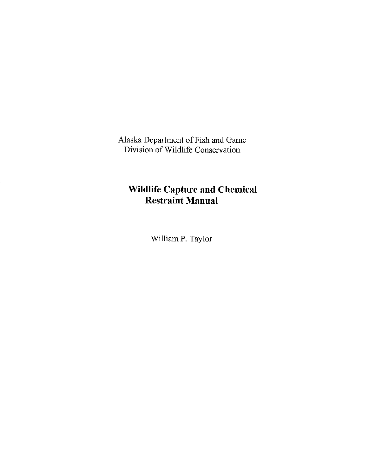Alaska Department of Fish and Game Division of Wildlife Conservation

# **Wildlife Capture and Chemical Restraint Manual**

William P. Taylor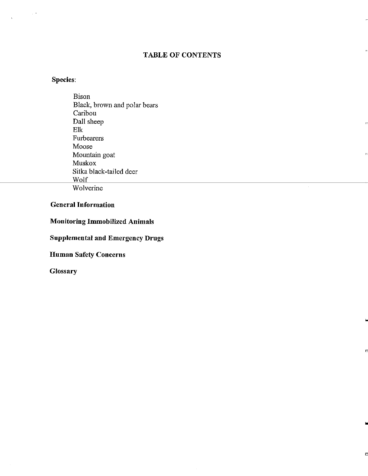# TABLE OF CONTENTS

"

..

D

..

D

# Species:

 $\sim$ 

 $\bar{\Delta}$ 

Bison Black, brown and polar bears Caribou Dall sheep Elk Furbearers Moose Mountain goat Muskox Sitka black-tailed deer Wolf Wolverine

# General Information

Monitoring Immobilized Animals

Supplemental and Emergency Drugs

Human Safety Concerns

**Glossary**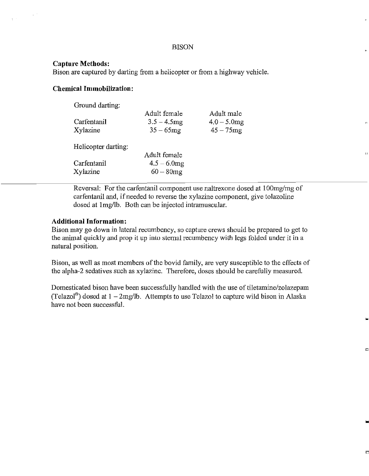### BISON

### **Capture Methods:**

Bison are captured by darting from a helicopter or from a highway vehicle.

# **Chemical Immobilization:**

| Ground darting:     |                |                |  |
|---------------------|----------------|----------------|--|
|                     | Adult female   | Adult male     |  |
| Carfentanil         | $3.5 - 4.5$ mg | $4.0 - 5.0$ mg |  |
| Xylazine            | $35 - 65$ mg   | $45 - 75$ mg   |  |
| Helicopter darting: |                |                |  |
|                     | Adult female   |                |  |
| Carfentanil         | $4.5 - 6.0$ mg |                |  |

 $Xylazine$  60 - 80mg

Reversal: For the carfentanil component use naltrexone dosed at 100mg/mg of carfentanil and, if needed to reverse the xylazine component, give tolazoline dosed at lmg/lb. Both can be injected intramuscular.

# **Additional Information:**

Bison may go down in lateral recumbency, so capture crews should be prepared to get to the animal quickly and prop it up into sternal recumbency with legs folded under it in a natural position.

Bison, as well as most members of the bovid family, are very susceptible to the effects of the alpha-2 sedatives such as xylazine. Therefore, doses should be carefully measured.

Domesticated bison have been successfully handled with the use of tiletamine/zolazepam (Telazol®) dosed at  $1 - 2$ mg/lb. Attempts to use Telazol to capture wild bison in Alaska have not been successful.

D

..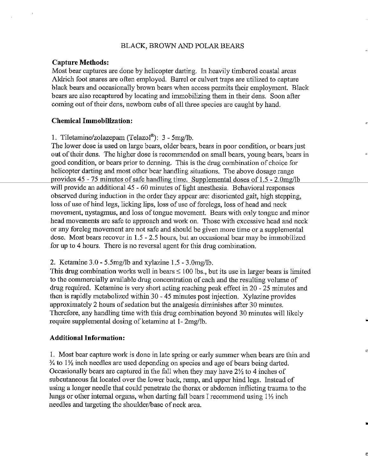### BLACK, BROWN AND POLAR BEARS

#### **Capture Methods:**

Most bear captures are done by helicopter darting. In heavily timbered coastal areas Aldrich foot snares are often employed. Barrel or culvert traps are utilized to capture black bears and occasionally brown bears when access permits their employment. Black bears are also recaptured by locating and immobilizing them in their dens. Soon after coming out of their dens, newborn cubs of all three species are caught by hand.

#### **Chemical Immobilization:**

1. Tiletmnine/zolazepam (Telazol®): 3 - 5mg/lb.

The lower dose is used on large bears, older bears, bears in poor condition, or bears just out of their dens. The higher dose is recommended on small bears, young bears, bears in good condition, or bears prior to denning. This is the drug combination of choice for helicopter darting and most other bear handling situations. The above dosage range provides 45 - 75 minutes of safe handling time. Supplemental doses of 1.5 - 2.0mg/lb will provide an additional 45 - 60 minutes of light anesthesia. Behavioral responses observed during induction in the order they appear are: disoriented gait, high stepping, loss of use of hind legs, licking lips, loss of use of forelegs, loss of head and neck movement, nystagmus, and loss of tongue movement. Bears with only tongue and minor head movements are safe to approach and work on. Those with excessive head and neck or any foreleg movement are not safe and should be given more time or a supplemental dose. Most bears recover in  $1.5 - 2.5$  hours, but an occasional bear may be immobilized for up to 4 hours. There is no reversal agent for this drug combination.

"

•

D

#### 2. Ketamine  $3.0 - 5.5$ mg/lb and xylazine  $1.5 - 3.0$ mg/lb.

This drug combination works well in bears  $\leq 100$  lbs., but its use in larger bears is limited to the commercially available drug concentration of each and the resulting volume of drug required. Ketamine is very short acting reaching peak effect in 20 - 25 minutes and then is rapidly metabolized within 30- 45 minutes post injection. Xylazine provides approximately 2 hours of sedation but the analgesia diminishes after 30 minutes. Therefore, any handling time with this drug combination beyond 30 minutes will likely require supplemental dosing of ketamine at 1- 2mg/lb.

#### **Additional Information:**

1. Most bear capture work is done in late spring or early summer when bears are thin and  $\frac{3}{4}$  to 1<sup>1</sup>/<sub>2</sub> inch needles are used depending on species and age of bears being darted. Occasionally bears are captured in the fall when they may have  $2\frac{1}{2}$  to 4 inches of subcutaneous fat located over the lower back, rump, and upper hind legs. Instead of using a longer needle that could penetrate the thorax or abdomen inflicting trauma to the lungs or other internal organs, when darting fall bears I recommend using  $1 \frac{1}{2}$  inch needles and targeting the shoulder/base of neck area.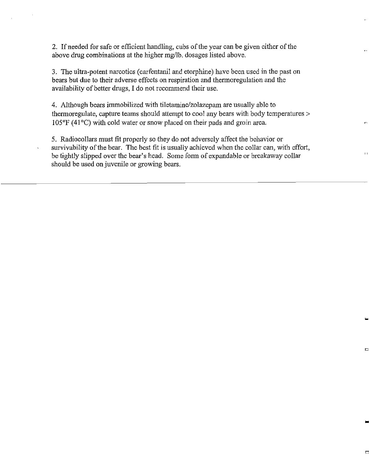2. If needed for safe or efficient handling, cubs of the year can be given either of the above drug combinations at the higher mg/lb. dosages listed above.

3. The ultra-potent narcotics (carfentanil and etorphine) have been used in the past on bears but due to their adverse effects on respiration and thermoregulation and the availability of better drugs, I do not recommend their use.

4. Although bears immobilized with tiletamine/zolazepam are usually able to thermoreguiate, capture teams should attempt to cool any bears with body temperatures > 105°F (41 °C) with cold water or snow placed on their pads and groin area.

5. Radio collars must fit properly so they do not adversely affect the behavior or survivability of the bear. The best fit is usually achieved when the collar can, with effort, be tightly slipped over the bear's head. Some form of expandable or breakaway collar should be used on juvenile or growing bears.

"

...

D

..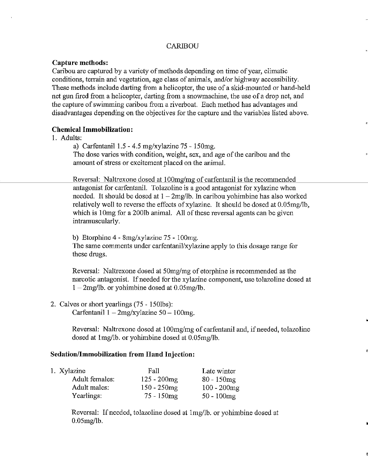# **CARIBOU**

### **Capture methods:**

Caribou are captured by a variety of methods depending on time of year, climatic conditions, terrain and vegetation, age class of animals, and/or highway accessibility. These methods include darting from a helicopter, the use of a skid-mounted or hand-held net gun fired from a helicopter, darting from a snowmachine, the use of a drop net, and the capture of swimming caribou from a riverboat. Each method has advantages and disadvantages depending on the objectives for the capture and the variables listed above.

### **Chemical Immobilization:**

## 1. Adults:

a) Carfentanil 1.5 - 4.5 mg/xylazine 75 - 150mg. The dose varies with condition, weight, sex, and age of the caribou and the amount of stress or excitement placed on the animal.

Reversal: Naltrexone dosed at 100mg/mg of carfentanil is the recommended antagonist for carfentanil. Tolazoline is a good antagonist for xylazine when needed. It should be dosed at  $1 - 2$ mg/lb. In caribou yohimbine has also worked relatively well to reverse the effects of xylazine. It should be dosed at 0.05mg/lb, which is 10mg for a 2001b animal. All of these reversal agents can be given intramuscularly.

b) Etorphine 4- 8mg/xylazine 75- lOOmg. The same comments under carfentanil/xylazine apply to this dosage range for these drugs.

Reversal: Naltrexone dosed at 50mg/mg of etorphine is recommended as the narcotic antagonist. If needed for the xylazine component, use tolazoline dosed at  $1 - 2$ mg/lb. or yohimbine dosed at 0.05mg/lb.

2. Calves or short yearlings (75 - 150lbs):

Carfentanil  $1 - 2$ mg/xylazine 50 - 100mg.

Reversal: Naltrexone dosed at 100mg/mg of carfentanil and, if needed, tolazoline dosed at lmg/lb. or yohimbine dosed at 0.05mg/lb.

# **Sedation/Immobilization from Hand Injection:**

| 1. Xylazine    | Fall           | Late winter    |  |
|----------------|----------------|----------------|--|
| Adult females: | $125 - 200$ mg | $80 - 150$ mg  |  |
| Adult males:   | $150 - 250$ mg | $100 - 200$ mg |  |
| Yearlings:     | $75 - 150$ mg  | $50 - 100$ mg  |  |

Reversal: If needed, tolazoline dosed at 1mg/lb. or yohimbine dosed at 0.05mg/lb.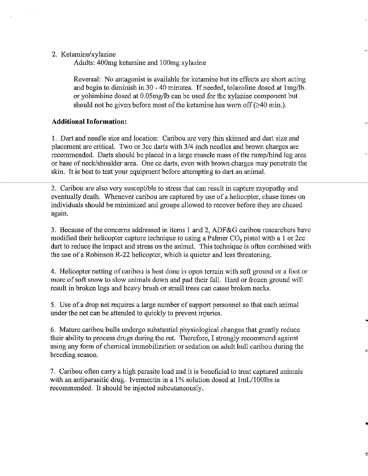### 2. Ketamine/xylazine

Adults: 400mg ketamine and 1 OOmg xylazine

Reversal: No antagonist is available for ketamine but its effects are short acting and begin to diminish in 30 - 40 minutes. If needed, tolazoline dosed at 1mg/lb. or yohimbine dosed at 0.05mg/lb can be used for the xylazine component but should not be given before most of the ketamine has worn off  $(\geq 40 \text{ min.})$ .

## **Additional Information:**

1. Dart and needle size and location: Caribou are very thin skinned and dart size and placement are critical. Two or 3cc darts with 3/4 inch needles and brown charges are recommended. Darts should be placed in a large muscle mass of the rump/hind leg area or base of neck/shoulder area. One cc darts, even with brown charges may penetrate the skin. It is best to test your equipment before attempting to dart an animal.

"

•

2. Caribou are also very susceptible to stress that can result in capture myopathy and eventually death. Whenever caribou are captured by use of a helicopter, chase times on individuals should be minimized and groups allowed to recover before they are chased again.

3. Because ofthe concerns addressed in items 1 and 2, ADF&G caribou researchers have modified their helicopter capture technique to using a Palmer  $CO<sub>2</sub>$  pistol with a 1 or 2cc dart to reduce the impact and stress on the animal. This technique is often combined with the use of a Robinson R-22 helicopter, which is quieter and less threatening.

4. Helicopter netting of caribou is best done in open terrain with soft ground or a foot or more of soft snow to slow animals down and pad their fall. Hard or frozen ground will result in broken legs and heavy brush or small trees can cause broken necks.

5. Use of a drop net requires a large number of support personnel so that each animal under the net can be attended to quickly to prevent injuries.

6. Mature caribou bulls undergo substantial physiological changes that greatly reduce their ability to process drugs during the rut. Therefore, I strongly recommend against using any form of chemical immobilization or sedation on adult bull caribou during the breeding season.

7. Caribou often carry a high parasite load and it is beneficial to treat captured animals with an antiparasitic drug. Ivermectin in a  $1\%$  solution dosed at  $1mL/100$ lbs is recommended. It should be injected subcutaneously.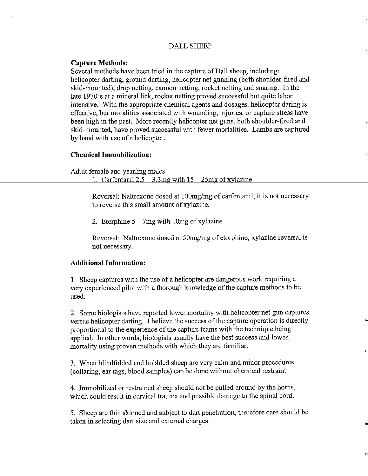# DALLSHEEP

### **Capture Methods:**

Several methods have been tried in the capture of Dall sheep, including: helicopter darting, ground darting, helicopter net gunning (both shoulder-fired and skid-mounted), drop netting, cannon netting, rocket netting and snaring. In the late 1970's at a mineral lick, rocket netting proved successful but quite labor intensive. With the appropriate chemical agents and dosages, helicopter daring is effective, but moralities associated with wounding, injuries, or capture stress have been high in the past. More recently helicopter net guns, both shoulder-fired and skid-mounted, have proved successful with fewer mortalities. Lambs are captured by hand with use of a helicopter.

n

"

D

### **Chemical Immobilization:**

Adult female and yearling males:

1. Carfentanil  $2.5 - 3.3$ mg with  $15 - 25$ mg of xylazine

Reversal: Naltrexone dosed at 100mg/mg of carfentanil; it is not necessary to reverse this small amount of xylazine.

2. Etorphine  $5 - 7mg$  with 10mg of xylazine

Reversal: Naltrexone dosed at 50mg/mg of etorphine; xylazine reversal is not necessary.

### **Additional Information:**

1. Sheep captures with the use of a helicopter are dangerous work requiring a very experienced pilot with a thorough knowledge of the capture methods to be used.

2. Some biologists have reported lower mortality with helicopter net gun captures versus helicopter darting. I believe the success of the capture operation is directly proportional to the experience of the capture teams with the technique being applied. In other words, biologists usually have the best success and lowest mortality using proven methods with which they are familiar.

3. When blindfolded and hobbled sheep are very cahn and minor procedures (collaring, ear tags, blood samples) can be done without chemical restraint.

4. Immobilized or restrained sheep should not be pulled around by the horns, which could result in cervical trauma and possible damage to the spinal cord.

5. Sheep are thin skinned and subject to dart penetration, therefore care should be taken in selecting dart size and external charges.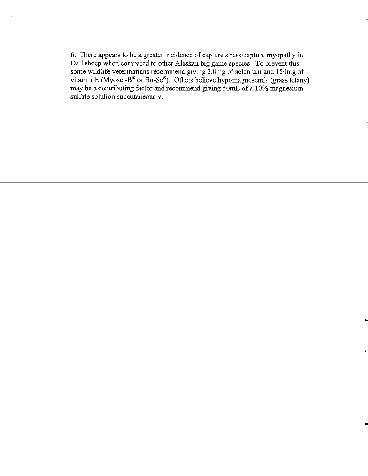6. There appears to be a greater incidence of captnre stress/captnre myopathy in Dall sheep when compared to other Alaskan big game species. To prevent this some wildlife veterinarians recommend giving 3.0mg of selenium and 150mg of vitamin E (Myosel-B® or Bo-Se®). Others believe hypomagnesemia (grass tetany) may be a contributing factor and recommend giving 50mL of a 10% magnesium sulfate solution subcutaneously.

"

..

Ë

..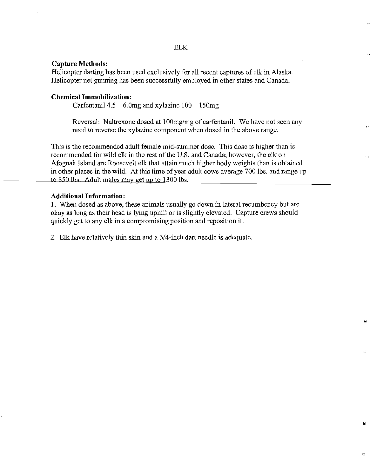# ELK

### **Capture Methods:**

Helicopter darting has been used exclusively for all recent captures of elk in Alaska. Helicopter net gunning has been successfully employed in other states and Canada.

### **Chemical Immobilization:**

Carfentanil  $4.5 - 6.0$ mg and xylazine  $100 - 150$ mg

Reversal: Na1trexone dosed at 100mg/mg of carfentanil. We have not seen any need to reverse the xy1azine component when dosed in the above range.

n

"

•

ō

'n.

This is the recommended adult female mid-summer dose. This dose is higher than is recommended for wild elk in the rest of the U.S. and Canada; however, the elk on Afognak Island are Roosevelt elk that attain much higher body weights than is obtained in other places in the wild. At this time of year adult cows average 700 lbs. and range up to 850 lbs. Adult males may get up to 1300 lbs.

### **Additional Information:**

1. When dosed as above, these animals usually go down in lateral recumbency but are okay as long as their head is lying uphill or is slightly elevated. Capture crews should quickly get to any elk in a compromising position and reposition it.

2. Elk have relatively thin skin and a 3/4-inch dart needle is adequate.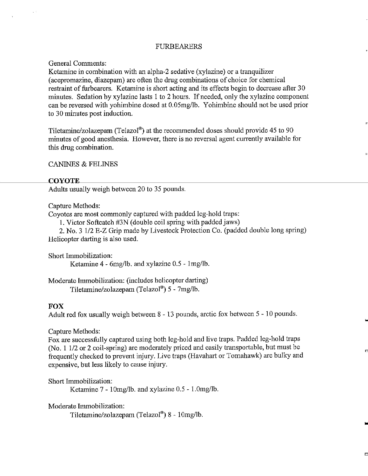### **FURBEARERS**

#### General Comments:

Ketamine in combination with an alpha-2 sedative (xylazine) or a tranquilizer (acepromazine, diazepam) are often the drug combinations of choice for chemical restraint of furbearers. Ketamine is short acting and its effects begin to decrease after 30 minutes. Sedation by xylazine lasts 1 to 2 hours. If needed, only the xylazine component can be reversed with yohimbine dosed at 0.05mg/lb. Yohimbine should not be used prior to 30 minutes post induction.

Tiletamine/zolazepam (Telazol®) at the recommended doses should provide 45 to 90 minutes of good anesthesia. However, there is no reversal agent currently available for this drug combination.

"

..

D

..

D

CANINES & FELINES

#### **COYOTE**

Adults usually weigh between 20 to 35 pounds.

Capture Methods:

Coyotes are most commonly captured with padded leg-hold traps:

1. Victor Softcatch #3N (double coil spring with padded jaws)

2. No. 3 1/2 E-Z Grip made by Livestock Protection Co. (padded double long spring) Helicopter darting is also used.

Short Immobilization: Ketamine  $4 - 6$ mg/lb. and xylazine  $0.5 - 1$ mg/lb.

Moderate Immobilization: (includes helicopter darting) Tiletamine/zolazeparn (Telazol®) 5 - 7mg/lb.

#### **FOX**

Adult red fox usually weigh between  $8 - 13$  pounds, arctic fox between  $5 - 10$  pounds.

Capture Methods:

Fox are successfully captured using both leg-hold and live traps. Padded leg-hold traps (No. 1 1/2 or 2 coil-spring) are moderately priced and easily transportable, but must be frequently checked to prevent injury. Live traps (Havahart or Tomahawk) are bulky and expensive, but less likely to cause injury.

Short Immobilization:

Ketamine 7- lOmg/lb. and xylazine 0.5- l.Omg/lb.

Moderate Immobilization:

Tiletamine/zolazepam (Telazol®) 8 - 10mg/lb.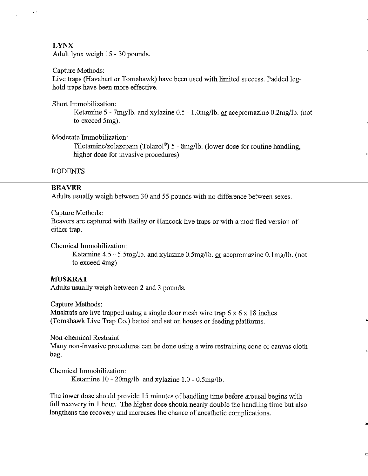### **LYNX**

Adult lynx weigh 15- 30 pounds.

#### Capture Methods:

Live traps (Havahart or Tomahawk) have been used with limited success. Padded leg hold traps have been more effective.

#### Short Immobilization:

Ketarnine *5-* 7mg/lb. and xylazine 0.5 - l.Omg/lb. or acepromazine 0.2mg/lb. (not to exceed 5mg).

Moderate Immobilization:

Tiletarnine/zolazepam (Telazol®) 5 - 8mg/lb. (lower dose for routine handling, higher dose for invasive procedures)

### RODENTS

## **BEAVER**

Adults usually weigh between 30 and *55* pounds with no difference between sexes.

Capture Methods:

Beavers are captured with Bailey or Hancock live traps or with a modified version of either trap.

Chemical Immobilization:

Ketamine 4.5 - 5.5mg/lb. and xylazine 0.5mg/lb. or acepromazine 0.1mg/lb. (not to exceed 4mg)

#### **MUSKRAT**

Adults usually weigh between 2 and 3 pounds.

Capture Methods:

Muskrats are live trapped using a single door mesh wire trap 6 x 6 x 18 inches (Tomahawk Live Trap Co.) baited and set on houses or feeding platforms.

Non-chemical Restraint:

Many non-invasive procedures can be done using a wire restraining cone or canvas cloth bag.

Chemical Immobilization: Ketamine 10 - 20mg/lb. and xylazine 1.0 - 0.5mg/lb.

The lower dose should provide 15 minutes of handling time before arousal begins with full recovety in 1 hour. The higher dose should nearly double the handling time but also lengthens the recovery and increases the chance of anesthetic complications.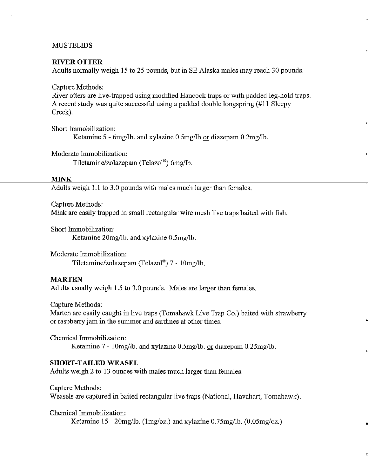### MUSTELIDS

#### **RIVER OTTER**

Adults normally weigh 15 to 25 pounds, but in SE Alaska males may reach 30 pounds.

Capture Methods:

River otters are live-trapped using modified Hancock traps or with padded leg-hold traps. A recent study was quite successful using a padded double longspring (#11 Sleepy Creek).

Short Immobilization: Ketamine 5 - 6mg/lb. and xylazine 0.5mg/lb or diazepam 0.2mg/lb.

Moderate Immobilization:

Tiletamine/zolazepam (Telazol®) 6mg/lb.

#### **MINK**

Adults weigh 1.1 to 3.0 pounds with males much larger than females.

Capture Methods:

Mink are easily trapped in small rectangular wire mesh live traps baited with fish.

Short Immobilization: Ketamine 20mg/lb. and xylazine 0.5mg/lb.

Moderate Immobilization: Tiletamine/zolazepam (Telazol®)  $7 - 10$ mg/lb.

#### **MARTEN**

Adults usually weigh 1.5 to 3.0 pounds. Males are larger than females.

Capture Methods:

Marten are easily caught in live traps (Tomahawk Live Trap Co.) baited with strawbeny or raspbeny jam in the summer and sardines at other times.

Chemical Immobilization: Ketamine 7- lOmg/lb. and xylazine 0.5mg/lb. or diazepam 0.25mg/lb.

### **SHORT-TAILED WEASEL**

Adults weigh 2 to 13 ounces with males much larger than females.

#### Capture Methods:

Weasels are captured in baited rectangular live traps (National, Havahart, Tomahawk).

•

D

Chemical Immobilization: Ketamine 15 - 20mg/lb. (1mg/oz.) and xylazine 0.75mg/lb. (0.05mg/oz.)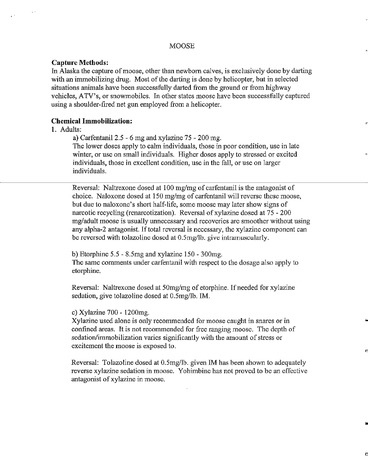#### **Capture Methods:**

In Alaska the capture of moose, other than newborn calves, is exclusively done by darting with an immobilizing drug. Most of the darting is done by helicopter, but in selected situations animals have been successfully darted from the ground or from highway vehicles, A TV's, or snowmobiles. In other states moose have been successfully captured using a shoulder-fired net gun employed from a helicopter.

### **Chemical Immobilization:**

### 1. Adults:

a) Carfentanil 2.5 - 6 mg and xylazine 75 - 200 mg.

The lower doses apply to calm individuals, those in poor condition, use in late winter, or use on small individuals. Higher doses apply to stressed or excited individuals, those in excellent condition, use in the fall, or use on larger individuals.

,.

"

..

D

Reversal: Naltrexone dosed at 100 mg/mg of carfentanil is the antagonist of choice. Naloxone dosed at 150 mg/mg of carfentanil will reverse these moose, but due to naloxone's short half-life, some moose may later show signs of narcotic recycling (renarcotization). Reversal of xylazine dosed at 75 - 200 mg/adult moose is usually unnecessary and recoveries are smoother without using any alpha-2 antagonist. If total reversal is necessary, the xylazine component can be reversed with tolazoline dosed at O.Smg/lb. give intramuscularly.

b) Etorphine 5.5- 8.5mg and xylazine 150- 300mg.

The same comments under carfentauil with respect to the dosage also apply to etorphine.

Reversal: Naltrexone dosed at 50mg/mg of etorphine. If needed for xylazine sedation, give tolazoline dosed at 0.5mg/lb. IM.

#### c) Xylazine 700- 1200mg.

Xylazine used alone is only recommended for moose caught in snares or in confined areas. It is not recommended for free ranging moose. The depth of sedation/immobilization varies significantly with the amount of stress or excitement the moose is exposed to.

Reversal: Tolazoline dosed at 0.5mg/lb. given IM has been shown to adequately reverse xylazine sedation in moose. Yohimbine has not proved to be an effective antagonist of xylazine in moose.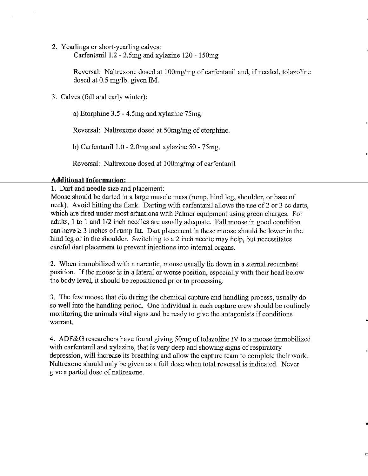2. Yearlings or short-yearling calves:

Carfentanil 1.2 - 2.5mg and xylazine  $120 - 150$ mg

Reversal: Naltrexone dosed at 100mg/mg of carfentanil and, if needed, tolazoline dosed at 0.5 mg/lb. given IM.

"

n

..

D

3. Calves (fall and early winter):

a) Etorphine 3.5- 4.5mg and xylazine 75mg.

Reversal: Naltrexone dosed at 50mg/mg of etorphine.

b) Carfentanil  $1.0 - 2.0$ mg and xylazine  $50 - 75$ mg.

Reversal: Naltrexone dosed at 100mg/mg of carfentanil.

# **Additional Information:**

1. Dart and needle size and placement:

Moose should be darted in a large muscle mass (rump, hind leg, shoulder, or base of neck). Avoid hitting the flank. Darting with carfentanil allows the use of 2 or 3 cc darts, which are fired under most situations with Palmer equipment using green charges. For adults, 1 to 1 and 1/2 inch needles are usually adequate. Fall moose in good condition can have  $\geq 3$  inches of rump fat. Dart placement in these moose should be lower in the hind leg or in the shoulder. Switching to a 2 inch needle may help, but necessitates careful dart placement to prevent injections into internal organs.

2. When inunobilized with a narcotic, moose usually lie down in a sternal recumbent position. If the moose is in a lateral or worse position, especially with their head below the body level, it should be repositioned prior to processing.

3. The few moose that die during the chemical capture and handling process, usually do so well into the handling period. One individual in each capture crew should be routinely monitoring the animals vital signs and be ready to give the antagonists if conditions warrant.

4. ADF&G researchers have found giving 50mg of tolazoline IV to a moose inunobilized with carfentanil and xylazine, that is very deep and showing signs of respiratory depression, will increase its breathing and allow the capture team to complete their work. Naltrexone should only be given as a full dose when total reversal is indicated. Never give a partial dose of naltrexone.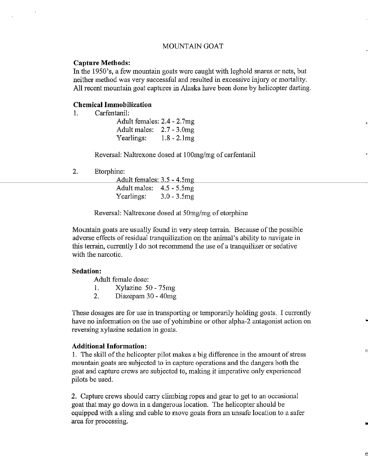#### MOUNTAIN GOAT

#### **Capture Methods:**

In the 1950's, a few mountain goats were caught with leghold snares or nets, but neither method was very successful and resulted in excessive injury or mortality. All recent mountain goat captures in Alaska have been done by helicopter darting.

"

..

t.

D

# **Chemical Immobilization**

1. Carfentanil:

Adult females: 2.4- 2.7mg Adult males: 2.7- 3.0mg Yearlings:  $1.8 - 2.1$ mg

Reversal: Naltrexone dosed at 1 OOmg/mg of carfentanil

2. Etorphine:

Adult females: 3.5- 4.5mg Adult males: 4.5 - 5.5mg Yearlings:  $3.0 - 3.5$ mg

Reversal: Naltrexone dosed at 50mg/mg of etorphine

Mountain goats are usually found in very steep terrain. Because of the possible adverse effects ofresidual tranquilization on the animal's ability to navigate in this terrain, currently I do not recommend the use of a tranquilizer or sedative with the narcotic.

#### **Sedation:**

Adult female dose:

- I. Xylazine 50- 75mg
- 2. Diazepam 30- 40mg

These dosages are for use in transporting or temporarily holding goats. I currently have no information on the use of yohimbine or other alpha-2 antagonist action on reversing xylazine sedation in goats.

### **Additional Information:**

1. The skill of the helicopter pilot makes a big difference in the amount of stress mountain goats are subjected to in capture operations and the dangers both the goat and capture crews are subjected to, making it imperative only experienced pilots be used.

2. Capture crews should carry climbing ropes and gear to get to an occasional goat that may go down in a dangerous location. The helicopter should be equipped with a sling and cable to move goats from an unsafe location to a safer area for processing.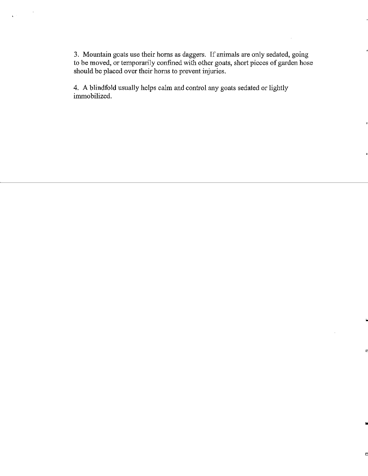3. Mountain goats use their horns as daggers. If animals are only sedated, going to be moved, or temporarily confined with other goats, short pieces of garden hose should be placed over their horns to prevent injuries.

,,

"

..

D

4. A blindfold usually helps calm and control any goats sedated or lightly immobilized.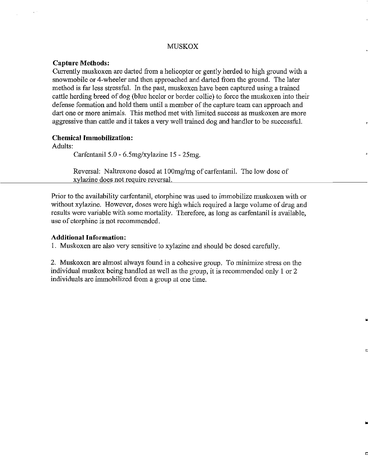#### **MUSKOX**

#### **Capture Methods:**

Currently muskoxen are darted from a helicopter or gently herded to high ground with a snowmobile or 4-wheeler and then approached and darted from the ground. The later method is far less stressful. In the past, muskoxen have been captured using a trained cattle herding breed of dog (blue heeler or border collie) to force the muskoxen into their defense formation and hold them until a member of the capture team can approach and dart one or more animals. This method met with limited success as muskoxen are more aggressive than cattle and it takes a very well trained dog and handler to be successful.

### **Chemical Immobilization:**

Adults:

Carfentanil 5.0 - 6.5mg/xylazine 15 - 25mg.

Reversal: Naltrexone dosed at 100mg/mg of carfentanil. The low dose of xylazine does not require reversal.

Prior to the availability carfentanil, etorphine was used to immobilize muskoxen with or without xylazine. However, doses were high which required a large volume of drug and results were variable with some mortality. Therefore, as long as carfentanil is available, use of etorphine is not recommended.

#### **Additional Information:**

1. Muskoxen are also very sensitive to xylazine and should be dosed carefully.

2. Muskoxen are ahnost always found in a cohesive group. To minimize stress on the individual muskox being handled as well as the group, it is recommended only 1 or 2 individuals are immobilized from a group at one time.

..

E.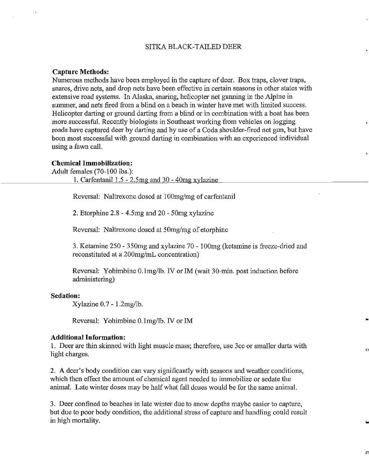### SITKA BLACK-TAILED DEER

#### **Capture Methods:**

Numerous methods have been employed in the capture of deer. Box traps, clover traps, snares, drive nets, and drop nets have been effective in certain seasons in other states with extensive road systems. In Alaska, snaring, helicopter net gunning in the Alpine in summer, and nets fired from a blind on a beach in winter have met with limited success. Helicopter darting or ground darting from a blind or in combination with a boat has been more successful. Recently biologists in Southeast working from vehicles on logging roads have captured deer by darting and by use of a Coda shoulder-fired net gun, but have been most successful with ground darting in combination with an experienced individual using a fawn call.

"

D

0

### **Chemical Immobilization:**

Adult females (70-100 lbs.):

1. Carfentanil  $1.5 - 2.5$ mg and  $30 - 40$ mg xylazine

Reversal: Naltrexone dosed at 100mg/mg of carfentanil

2. Etorphine 2.8- 4.5mg and 20- 50mg xylazine

Reversal: Naltrexone dosed at 50mg/mg of etorphine

3. Ketamine 250- 350mg and xylazine 70- lOOmg (ketamine is freeze-dried and reconstituted at a 200mg/mL concentration)

Reversal: Yohimbine O.lmg/lb. IV or IM (wait 30-min. post induction before administering)

#### **Sedation:**

Xylazine 0.7- 1.2mg/lb.

Reversal: Yohimbine O.lmg/lb. IV or 1M

#### **Additional Information:**

1. Deer are thin skinued with light muscle mass; therefore, use 3cc or smaller darts with light charges.

2. A deer's body condition can vary significantly with seasons and weather conditions, which then effect the amount of chemical agent needed to immobilize or sedate the animal. Late winter doses may be half what fall doses would be for the same animal.

3. Deer confiued to beaches in late winter due to snow depths maybe easier to capture, but due to poor body condition, the additional stress of capture and handling could result in high mortality.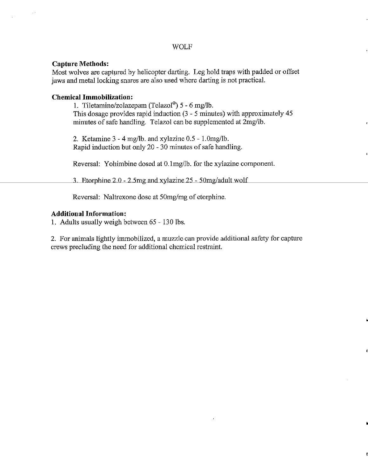## WOLF

### **Capture Methods:**

Most wolves are captured by helicopter darting. Leg hold traps with padded or offset jaws and metal locking snares are also used where darting is not practical.

### **Chemical Immobilization:**

1. Tiletamine/zolazepam (Telazol®) 5 - 6 mg/lb. This dosage provides rapid induction (3 - 5 minutes) with approximately 45 minutes of safe handling. Telazol can be supplemented at 2mg/lb.

"

•

2. Ketamine 3-4 mg/lb. and xylazine 0.5- l.Omg/lb. Rapid induction but only 20 -  $30$  minutes of safe handling.

Reversal: Yohimbine dosed at 0.1mg/lb. for the xylazine component.

3 Etorphine 2 0 - 2 5mg and xylazine 25 - 50mg/adult wolf

Reversal: Naltrexone dose at 50mg/mg of etorphine.

### **Additional Information:**

1. Adults usually weigh between 65 - 130 lbs.

2. For animals lightly immobilized, a muzzle can provide additional safety for capture crews precluding the need for additional chemical restraint.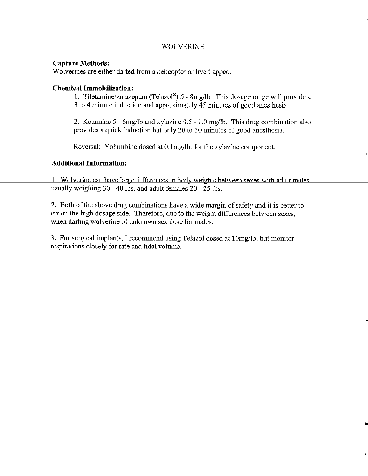## WOLVERINE

### **Capture Methods:**

Wolverines are either darted from a helicopter or live trapped.

### **Chemical Immobilization:**

1. Tiletamine/zolazepam (Telazol") 5 - 8mg/lb. This dosage range will provide a 3 to 4 minute induction and approximately 45 minutes of good anesthesia.

2. Ketamine 5 - 6mg/lb and xylazine 0.5 - 1.0 mg/lb. This drug combination also provides a quick induction but only 20 to 30 minutes of good anesthesia.

Reversal: Yohimbine dosed at O.lmg/lb. for the xylazine component.

### **Additional Information:**

1. Wolverine can have large differences in body weights between sexes with adult males usually weighing 30 - 40 lbs. and adult females 20 - 25 lbs.

2. Both of the above drug combinations have a wide margin of safety and it is better to err on the high dosage side. Therefore, due to the weight differences between sexes, when darting wolverine of unknown sex dose for males.

3. For surgical implants, I recommend using Telazol dosed at lOmg/lb. but monitor respirations closely for rate and tidal volume.

..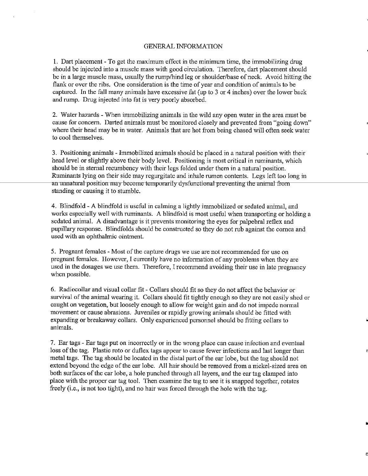#### GENERAL INFORMATION

1. Dart placement- To get the maximum effect in the minimum time, the immobilizing drug should be injected into a muscle mass with good circulation. Therefore, dart placement should be in a large muscle mass, usually the rump/hind leg or shoulder/base of neck. Avoid hitting the flank or over the ribs. One consideration is the time of year and condition of animals to be captured. In the fall many animals have excessive fat (up to 3 or 4 inches) over the lower back and rump. Drug injected into fat is very poorly absorbed.

2. Water hazards- When immobilizing animals in the wild any open water in the area must be cause for concern. Darted animals must be monitored closely and prevented from "going down" where their head may be in water. Animals that are hot from being chased will often seek water to cool themselves.

3. Positioning animals- Immobilized animals should be placed in a natural position with their head level or slightly above their body level. Positioning is most critical in ruminants, which should be in sternal recumbency with their legs folded under them in a natural position. Ruminants lying on their side may regurgitate and inhale rumen contents. Legs left too long in an unnatural position may become temporarily dysfunctional preventing the animal from standing or causing it to stumble.

4. Blindfold - A blindfold is useful in calming a lightly immobilized or sedated animal, and works especially well with ruminants. A blindfold is most useful when transporting or holding a sedated animal. A disadvantage is it prevents monitoring the eyes for palpebral reflex and pupillary response. Blindfolds should be constructed so they do not rub against the cornea and used with an ophthalmic ointment.

5. Pregnant females- Most of the capture drugs we use are not recommended for use on pregnant females. However, I currently have no information of any problems when they are used in the dosages we use them. Therefore, I recommend avoiding their use in late pregnancy when possible.

6. Radiocollar and visual collar fit- Collars should fit so they do not affect the behavior or survival of the animal wearing it. Collars should fit tightly enough so they are not easily shed or caught on vegetation, but loosely enough to allow for weight gain and do not impede normal movement or cause abrasions. Juveniles or rapidly growing animals should be fitted with expanding or breakaway collars. Only experienced personnel should be fitting collars to animals.

7. Ear tags - Ear tags put on incorrectly or in the wrong place can cause infection and eventual loss of the tag. Plastic roto or duflex tags appear to cause fewer infections and last longer than metal tags. The tag should be located in the distal part of the ear lobe, but the tag should not extend beyond the edge of the ear lobe. All hair should be removed from a nickel-sized area on both surfaces of the ear lobe, a hole punched through all layers, and the ear tag clamped into place with the proper ear tag tool. Then examine the tag to see it is snapped together, rotates freely (i.e., is not too tight), and no hair was forced through the hole with the tag.

n

•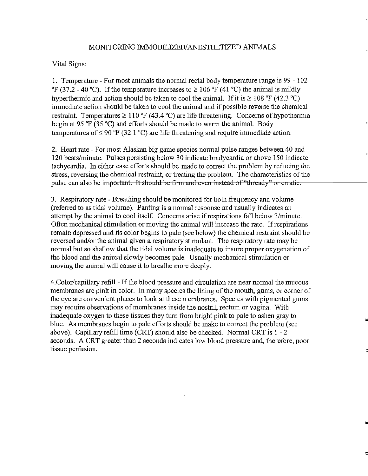#### MONITORING IMMOBILIZED/ANESTHETIZED ANIMALS

Vital Signs:

1. Temperature- For most animals the normal rectal body temperature range is 99 - I 02  $\rm{PF}$  (37.2 - 40 °C). If the temperature increases to  $\geq$  106 °F (41 °C) the animal is mildly hyperthermic and action should be taken to cool the animal. If it is  $\geq 108$  °F (42.3 °C) innnediate action should be taken to cool the animal and if possible reverse the chemical restraint. Temperatures  $\geq 110$  °F (43.4 °C) are life threatening. Concerns of hypothermia begin at 95 'F (35 'C) and efforts should be made to warm the animal. Body temperatures of  $\leq$  90 °F (32.1 °C) are life threatening and require immediate action.

2. Heart rate- For most Alaskan big game species normal pulse ranges between 40 and 120 beats/minute. Pulses persisting below 30 indicate bradycardia or above 150 indicate tachycardia. In either case efforts should be made to correct the problem by reducing the stress, reversing the chemical restraint, or treating the problem. The characteristics of the pulse can also be important. It should be firm and even instead of "thready" or erratic.

3. Respiratory rate- Breathing should be monitored for both frequency and volume (referred to as tidal volume). Panting is a normal response and usually indicates an attempt by the animal to cool itself. Concerns arise ifrespirations fall below 3/minute. Often mechanical stimulation or moving the animal will increase the rate. If respirations remain depressed and its color begins to pale (see below) the chemical restraint should be reversed and/or the animal given a respiratory stimulant. The respiratory rate may be normal but so shallow that the tidal volume is inadequate to insure proper oxygenation of the blood and the animal slowly becomes pale. Usually mechanical stimulation or moving the animal will cause it to breathe more deeply.

4.Color/capillary refill- Ifthe blood pressure and circulation are near normal the mucous membranes are pink in color. In many species the lining of the mouth, gums, or corner of the eye are convenient places to look at these membranes. Species with pigmented gums may require observations of membranes inside the nostril, rectum or vagina. With inadequate oxygen to these tissues they turn from bright pink to pale to ashen gray to blue. As membranes begin to pale efforts should be make to correct the problem (see above). Capillary refill time (CRT) should also be checked. Normal CRT is 1 - 2 seconds. A CRT greater than 2 seconds indicates low blood pressure and, therefore, poor tissue perfusion.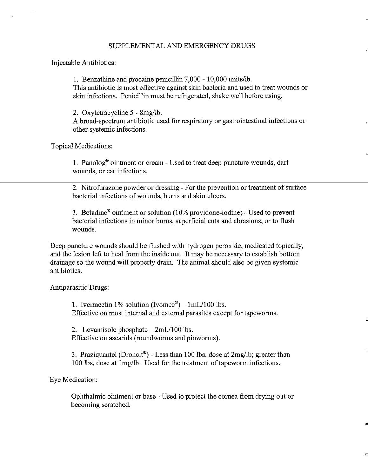#### SUPPLEMENTAL AND EMERGENCY DRUGS

### Injectable Antibiotics:

1. Benzathine and procaine penicillin 7,000- 10,000 units/lb. This antibiotic is most effective against skin bacteria and used to treat wounds or skin infections. Penicillin must be refrigerated, shake well before using.

2. Oxytetracycline 5 - 8mg/lb.

A broad-spectrum antibiotic used for respiratory or gastrointestinal infections or other systemic infections.

,.

n

..

D

Topical Medications:

1. Panolog® ointment or cream- Used to treat deep puncture wounds, dart wounds, or ear infections.

2. Nitrofurazone powder or dressing -For the prevention or treatment of surface bacterial infections ofwounds, bums and skin ulcers.

3. Betadine® ointment or solution (10% providone-iodine)- Used to prevent bacterial infections in minor burns, superficial cuts and abrasions, or to flush wounds.

Deep puncture wounds should be flushed with hydrogen peroxide, medicated topically, and the lesion left to heal from the inside out. It may be necessary to establish bottom drainage so the wound will properly drain. The animal should also be given systemic antibiotics.

Antiparasitic Drugs:

1. Ivermectin 1% solution (Ivomec<sup>®</sup>) –  $1mL/100$  lbs. Effective on most internal and external parasites except for tapeworms.

2. Levamisole phosphate  $-2mL/100$  lbs. Effective on ascarids (roundworms and pinworms).

3. Praziquantel (Droncit®)- Less than 100 lbs. dose at 2mg/lb; greater than 100 lbs. dose at 1mg/lb. Used for the treatment of tapeworm infections.

Eye Medication:

Ophthalmic ointment or base - Used to protect the cornea from drying out or becoming scratched.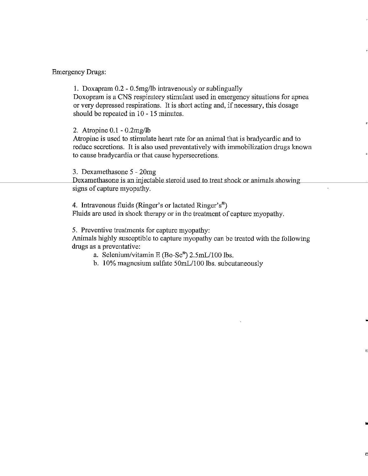### Emergency Drugs:

1. Doxapram 0.2 - 0.5mg/lb intravenously or sublingually Doxopram is a CNS respiratory stimulant used in emergency situations for apnea or very depressed respirations. It is short acting and, ifnecessary, this dosage should be repeated in 10 - 15 minutes.

### 2. Atropine 0.1- 0.2mg/1b

Atropine is used to stimulate heart rate for an animal that is bradycardic and to reduce secretions. It is also used preventatively with immobilization drugs known to cause bradycardia or that cause hypersecretions.

"

..

D

3. Dexamethasone 5- 20mg

Dexamethasone is an injectable steroid used to treat shock or animals showing signs of capture myopathy.

4. Intravenous fluids (Ringer's or lactated Ringer's<sup>®</sup>) Fluids are used in shock therapy or in the treatment of capture myopathy.

5. Preventive treatments for capture myopathy:

 Animals highly susceptible to capture myopathy can be treated with the following drugs as a preventative:

- a. Selenium/vitamin E (Bo-Se®) 2.5mL/100 lbs.
- b. 10% magnesium sulfate 50mL/100 lbs. subcutaneously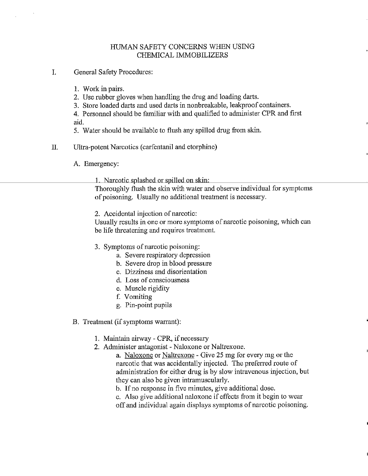## HUMAN SAFETY CONCERNS WHEN USING CHEMICAL IMMOBILIZERS

- I. General Safety Procedures:
	- 1. Work in pairs.
	- 2. Use rubber gloves when handling the drug and loading darts.
	- 3. Store loaded darts and used darts in nonbreakable, leakproof containers.
	- 4. Personnel should be familiar with and qualified to administer CPR and first aid.
	- 5. Water should be available to flush any spilled drug from skin.
- II. Ultra-potent Narcotics ( carfentanil and etorphine)
	- A. Emergency:
		- 1 Narcotic splashed or spilled on skin·

Thoroughly flush the skin with water and observe individual for symptoms of poisoning. Usually no additional treatment is necessary.

2. Accidental injection of narcotic:

Usually results in one or more symptoms of narcotic poisoning, which can be life threatening and requires treatment.

- 3. Symptoms of narcotic poisoning:
	- a. Severe respiratory depression
	- b. Severe drop in blood pressure
	- c. Dizziness and disorientation
	- d. Loss of consciousness
	- e. Muscle rigidity
	- f. Vomiting
	- g. Pin-point pupils

### B. Treatment (if symptoms warrant):

- 1. Maintain airway CPR, if necessary
- 2. Administer antagonist- Naloxone or Naltrexone.

a. Naloxone or Naltrexone- Give 25 mg for every mg or the narcotic that was accidentally injected. The preferred route of administration for either drug is by slow intravenous injection, but they can also be given intramuscularly.

- b. If no response in five minutes, give additional dose.
- c. Also give additional naloxone if effects from it begin to wear
- off and individual again displays symptoms of narcotic poisoning.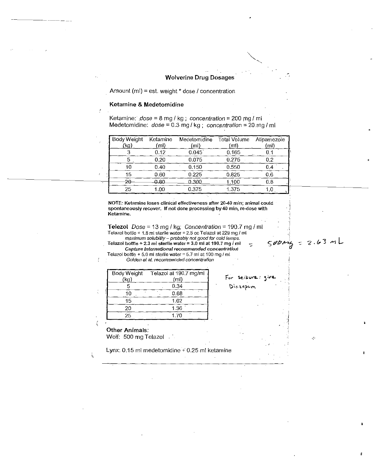#### Wolverine Drug Dosages·

Amount (ml) = est. weight  $*$  dose  $I$  concentration

#### Ketamine & Medetomidine

Ketamine:  $dose = 8$  mg / kg; concentration = 200 mg / ml Medetomidine:  $dose = 0.3$  mg / kg; concentration = 20.mg / ml

| Body Weight<br>(kg) | Ketamine<br>(ml | Medetomidine<br>(ml) | Total Volume<br>(ml) | Atipamezole<br>(ml) |
|---------------------|-----------------|----------------------|----------------------|---------------------|
|                     | 0.12            | 0.045                | 0.165                | 0.1                 |
|                     | 0.20            | 0.075                | 0.275                | 0.2                 |
| 10                  | 0.40            | 0.150                | 0.550                | 0.4                 |
| 15                  | 0.60            | 0.225                | 0.825                | 0.6                 |
| 20                  | 0.80            | 0.300                | 1.100                | 0.8                 |
| 25                  | 1.00            | 0.375                | 1.375                | 1.0                 |
|                     |                 |                      |                      |                     |

**NOTE: Ketarnine loses clinical effectiveness after 20-40 min; animal could**  spontaneously recover. If not done processing by 40 min, re-dose with **Ketamine.** 

Telezol  $Dose = 13$  mg / kg; Concentration = 190.7 mg / ml **Telazol bottle+ 1.8 ml sterile water=** 2.5 cc **Telazol at229 mg I ml**  — maximum solubility – probably not good for cold lemps.<br>- Telazol bottle + 2.3 ml sterile water = 3.0 ml at 190.7 mg *I* ml  $500$ 

**Capture International recommended concentratio!l Telazol bottle+ 5.0ml sterilewater=5.7-ml at 100 mg/ml** 

Golden et al. recommended concentration

| Body Weight<br>(kg) | Telazol at 190.7 mg/ml<br>(ml) | For seisure give |
|---------------------|--------------------------------|------------------|
|                     | 0.34                           | Diazepam         |
| 10                  | 0.68                           |                  |
| 15                  | 1.02                           |                  |
| 20                  | 1.36                           |                  |
| 25                  | I 70                           |                  |

# Other Animals:

Wolf: 500 mg Telazol

Lynx: 0.15 ml medetomidine + 0.25 ml ketamine

۰

 $2.63 mL$ 

 $\mathcal{L}_\mathcal{P}$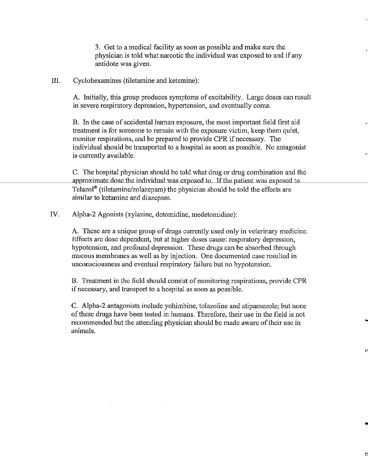3. Get to a medical facility as soon as possible and make sure the physician is told what narcotic the individual was exposed to and if any antidote was given.

III. Cyclohexamines (tiletamine and ketamine):

A. Initially, this group produces symptoms of excitability. Large doses can result in severe respiratory depression, hypertension, and eventually coma.

B. In the case of accidental human exposure, the most important field first aid " treatment is for someone to remain with the exposure victim, keep them quiet, monitor respirations, and be prepared to provide CPR if necessary. The individual should be transported to a hospital as soon as possible. No antagonist is currently available.

C. The hospital physician should be told what drug or drug combination and the approximate dose the individual was exposed to. If the patient was exposed to Telazol® (tiletamine/zolazepam) the physician should be told the effects are similar to ketamine and diazepam.

IV. Aipha-2 Agonists (xylazine, detomidine, medetomidine):

A. These are a unique group of drugs currently used only in veterinary medicine. Effects are dose dependent, but at higher doses cause: respiratory depression, hypotension, and profound depression. These drugs can be absorbed through mucous membranes as well as by injection. One documented case resulted in unconsciousness and eventual respiratory failure but no hypotension.

B. Treatment in the field should consist of monitoring respirations, provide CPR if necessary, and transport to a hospital as soon as possible.

C. Alpha-2 antagonists include yohimbine, tolazoline and atipamezole; but none of these drugs have been tested in humans. Therefore, their use in the field is not recommended but the attending physician should be made aware of their use in animals.

f'l

..

E.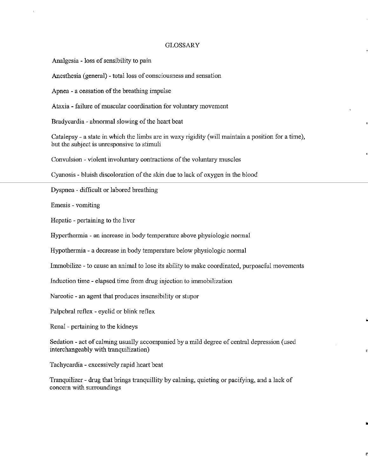#### GLOSSARY

Analgesia - loss of sensibility to pain

Anesthesia (general) - total loss of consciousness and sensation

Apnea - a cessation of the breathing impulse

Ataxia - failure of muscular coordination for voluntary movement

Bradycardia - abnormal slowing of the heart beat

Catalepsy- a state in which the limbs are in waxy rigidity (will maintain a position for a time), but the subject is umesponsive to stimuli

Convulsion - violent involuntary contractions of the voluntary muscles

Cyanosis - bluish discoloration of the skin due to lack of oxygen in the blood

Dyspnea - difficult or labored breathing

Emesis - vomiting

Hepatic - pertaining to the liver

Hyperthermia - an increase in body temperature above physiologic normal

Hypothermia- a decrease in body temperature below physiologic normal

Immobilize - to cause an animal to lose its ability to make coordinated, purposeful movements

Induction time- elapsed time from drug injection to inunobilization

Narcotic -an agent that produces insensibility or stupor

Palpebral reflex - eyelid or blink reflex

Renal - pertaining to the kidneys

Sedation- act of calming usually accompanied by a mild degree of central depression (used interchangeably with tranquilization)

n

•

Tachycardia - excessively rapid heart beat

Tranquilizer - drug that brings tranquillity by calming, quieting or pacifying, and a lack of concern with surroundings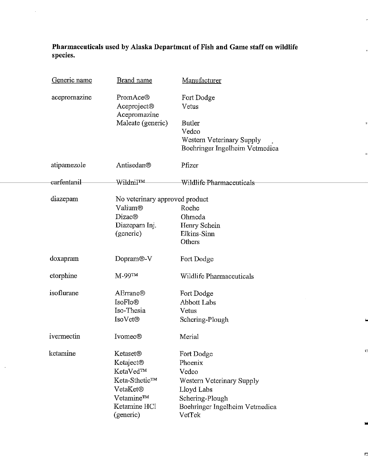**Pharmaceuticals used by Alaska Department of Fish and Game staff on wildlife species.** 

| Generic name | <b>Brand name</b>                       | Manufacturer                   |
|--------------|-----------------------------------------|--------------------------------|
| acepromazine | PromAce®<br>Aceproject®<br>Acepromazine | Fort Dodge<br>Vetus            |
|              | Maleate (generic)                       | <b>Butler</b><br>Vedco         |
|              |                                         | Western Veterinary Supply      |
|              |                                         | Boehringer Ingelheim Vetmedica |
| atipamezole  | Antisedan®                              | Pfizer                         |
| earfentanil  | Wildnil™                                | Wildlife Pharmaceuticals       |
| diazepam     | No veterinary approved product          |                                |
|              | Valium®                                 | Roche                          |
|              | <b>Dizac®</b>                           | Ohmeda                         |
|              | Diazepam Inj.                           | Henry Schein                   |
|              | (generic)                               | Elkins-Sinn                    |
|              |                                         | Others                         |
| doxapram     | Dopram <sup>®</sup> -V                  | Fort Dodge                     |
| etorphine    | M-99™                                   | Wildlife Pharmaceuticals       |
| isoflurane   | <b>AErrane®</b>                         | Fort Dodge                     |
|              | <b>IsoFlo®</b>                          | <b>Abbott Labs</b>             |
|              | Iso-Thesia                              | Vetus                          |
|              | <b>IsoVet®</b>                          | Schering-Plough                |
| ivermectin   | <b>Ivomec®</b>                          | Merial                         |
| ketamine     | <b>Ketaset<sup>®</sup></b>              | C<br>Fort Dodge                |
|              | Ketaject <sup>®</sup>                   | Phoenix                        |
|              | KetaVed™                                | Vedco                          |
|              | Keta-Sthetic™                           | Western Veterinary Supply      |
|              | VetaKet <sup>®</sup>                    | Lloyd Labs                     |
|              | Vetamine™                               | Schering-Plough                |
|              | Ketamine HCl                            | Boehringer Ingelheim Vetmedica |
|              | (generic)                               | VetTek                         |

 $\sim$ 

..

..

 $\Gamma$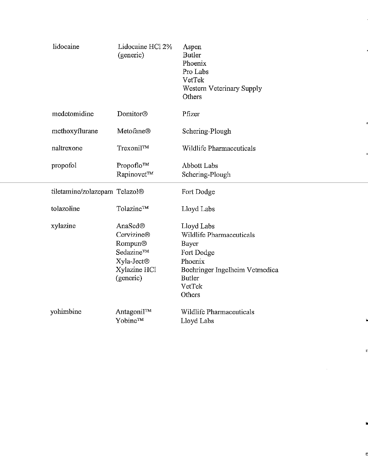| lidocaine                     | Lidocaine HCl 2%<br>(generic)                                                                        | Aspen<br><b>Butler</b><br>Phoenix<br>Pro Labs<br>VetTek<br>Western Veterinary Supply<br>Others                                                         |
|-------------------------------|------------------------------------------------------------------------------------------------------|--------------------------------------------------------------------------------------------------------------------------------------------------------|
| medetomidine                  | Domitor®                                                                                             | Pfizer                                                                                                                                                 |
| methoxyflurane                | Metofane®                                                                                            | Schering-Plough                                                                                                                                        |
| naltrexone                    | Trexonil™                                                                                            | Wildlife Pharmaceuticals                                                                                                                               |
| propofol                      | Propoflo™<br>Rapinovet™                                                                              | <b>Abbott Labs</b><br>Schering-Plough                                                                                                                  |
| tiletamine/zolazepam Telazol® |                                                                                                      | Fort Dodge                                                                                                                                             |
| tolazoline                    | Tolazine™                                                                                            | Lloyd Labs                                                                                                                                             |
| xylazine                      | AnaSed®<br>Cervizine®<br>Rompun®<br>Sedazine™<br>Xyla-Ject <sup>®</sup><br>Xylazine HCl<br>(generic) | Lloyd Labs<br>Wildlife Pharmaceuticals<br><b>Bayer</b><br>Fort Dodge<br>Phoenix<br>Boehringer Ingelheim Vetmedica<br><b>Butler</b><br>VetTek<br>Others |
| yohimbine                     | Antagonil™<br>Yobine™                                                                                | Wildlife Pharmaceuticals<br>Lloyd Labs                                                                                                                 |

n

•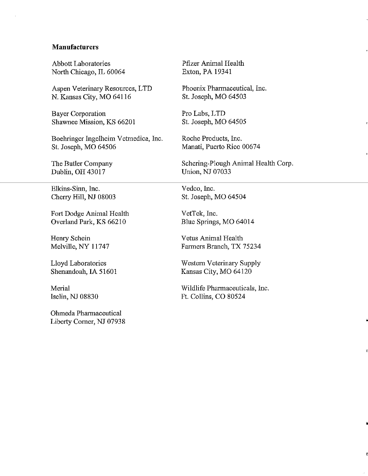### **Manufacturers**

Abbott Laboratories North Chicago, IL 60064

Aspen Veterinary Resources, LTD N. Kansas City, MO 64116

Bayer Corporation Shawnee Mission, KS 66201

Boehringer Ingelheim Vetmedica, Inc. St. Joseph, MO 64506

The Butler Company Dublin, OH 43017

Elkins-Sinn, Inc. Cherry Hill, NJ 08003

Fort Dodge Animal Health Overland Park, KS 66210

Henry Schein Melville, NY 11747

Lloyd Laboratories Shenandoah, IA 51601

Merial Iselin, NJ 08830

Olnneda Pharmaceutical Liberty Comer, NJ 07938 Pfizer Animal Health Exton, PA 19341

Phoenix Pharmaceutical, Inc. St. Joseph, MO 64503

Pro Labs, LTD St. Joseph, MO 64505

Roche Products, Inc. Manati, Puerto Rico 00674

Schering-Plough Animal Health Corp. Union, NJ 07033

"

n

•

n

Vedco, Inc. St. Joseph, MO 64504

VetTek, Inc. Blue Springs, MO 64014

Vetus Animal Health Fanners Branch, TX 75234

Western Veterinary Supply Kansas City, MO 64120

Wildlife Pharmaceuticals, Inc. Ft. Collins, CO 80524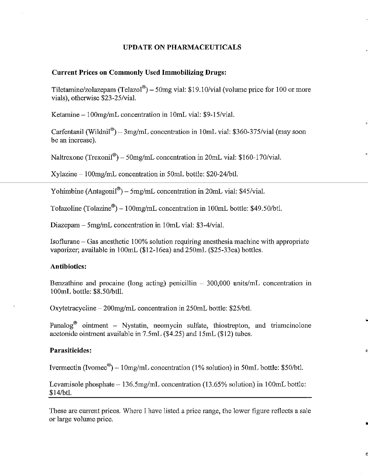### **UPDATE ON PHARMACEUTICALS**

#### **Current Prices on Commonly Used Immobilizing Drugs:**

Tiletamine/zolazepam (Telazol<sup>®</sup>) – 50mg vial: \$19.10/vial (volume price for 100 or more vials), otherwise \$23-25/vial.

Ketamine - 100mg/mL concentration in 10mL vial: \$9-15/vial.

Carfentanil (Wildnil®) – 3mg/mL concentration in 10mL vial: \$360-375/vial (may soon be an increase).

"

•

D

Naltrexone  $(Trexonil^{\circledast}) - 50$ mg/mL concentration in 20mL vial: \$160-170/vial.

Xylazine- 1OOmg/mL concentration in 50mL bottle: \$20-24/btl.

Yohimbine (Antagonil<sup>®</sup>) – 5mg/mL concentration in 20mL vial: \$45/vial.

Tolazoline (Tolazine®) – 100mg/mL concentration in 100mL bottle: \$49.50/btl.

Diazepam - 5mg/mL concentration in 10mL vial: \$3-4/vial.

Isoflurane- Gas anesthetic 100% solution requiring anesthesia machine with appropriate vaporizer; available in 100mL (\$12-16ea) and 250mL (\$25-33ea) bottles.

### **Antibiotics:**

Benzathine and procaine (long acting) penicillin  $-300,000$  units/mL concentration in 100mL bottle: \$8.50/btll.

Oxytetracycline- 200mg/mL concentration in 250mL bottle: \$25/btl.

Panalog<sup>®</sup> ointment – Nystatin, neomycin sulfate, thiostrepton, and triamcinolone acetonide ointment available in 7.5mL (\$4.25) and 15mL (\$12) tubes.

#### **Parasiticides:**

Ivermectin (Ivomec<sup>®</sup>) –  $10$ mg/mL concentration (1% solution) in 50mL bottle: \$50/btl.

Levamisole phosphate- 136.5mg/mL concentration (13.65% solution) in 100mL bottle: \$14/btl.

These are current prices. Where I have listed a price range, the lower figure reflects a sale or large volume price.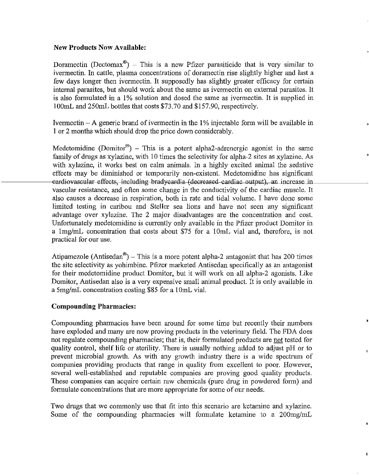### **New Products Now Available:**

Doramectin (Dectomax<sup>®</sup>) – This is a new Pfizer parasiticide that is very similar to ivermectin. In cattle, plasma concentrations of doramectin rise slightly higher and last a few days longer then ivermectin. It supposedly has slightly greater efficacy for certain internal parasites, but should work about the same as ivermectin on external parasites. It is also formulated in a 1% solution and dosed the same as ivermectin. It is supplied in 100mL and 250mL bottles that costs \$73.70 and \$157.90, respectively.

Ivermectin  $-A$  generic brand of ivermectin in the  $1\%$  injectable form will be available in **1** or 2 months which should drop the price down considerably.

Medetomidine (Domitor®) - This is a potent alpha2-adrenergic agonist in the same family of drugs as xylazine, with 10 times the selectivity for alpha-2 sites as xylazine. As with xylazine, it works best on calm animals. In a highly excited animal the sedative effects may be diminished or temporarily non-existent. Medetomidine has significant eardiovascular effects, including bradycardia (decreased cardiac output), an increase in vascular resistance, and often some change in the conductivity of the cardiac muscle. It also causes a decrease in respiration, both in rate and tidal volume. I have done some limited testing in caribou and Steller sea lions and have not seen any significant advantage over xylazine. The 2 major disadvantages are the concentration and cost. Unfortunately medetomidine is currently only available in the Pfizer product Domitor in a 1mg/mL concentration that costs about \$75 for a 10mL vial and, therefore, is not practical for our use.

Atipamezole (Antisedan<sup>®</sup>) – This is a more potent alpha-2 antagonist that has 200 times the site selectivity as yohimbine. Pfizer marketed Antisedan specifically as an antagonist for their medetomidine product Domitor, but it will work on all alpha-2 agonists. Like Domitor, Antisedan also is a very expensive small animal product. It is only available in a 5mg/mL concentration costing \$85 for a 10mL vial.

# **Compounding Pharmacies:**

Compounding pharmacies have been around for some time but recently their numbers have exploded and many are now proving products in the veterinary field. The FDA does not regulate compounding pharmacies; that is, their formulated products are not tested for quality control, shelf life or sterility. There is usually nothing added to adjust pH or to prevent microbial growth. As with any growth industry there is a wide spectrum of companies providing products that range in quality from excellent to poor. However, several well-established and reputable companies are proving good quality products. These companies can acquire certain raw chemicals (pure drug in powdered form) and formulate concentrations that are more appropriate for some of our needs.

Two drugs that we commonly use that fit into this scenario are ketamine and xylazine. Some of the compounding pharmacies will formulate ketamine to a 200mg/mL